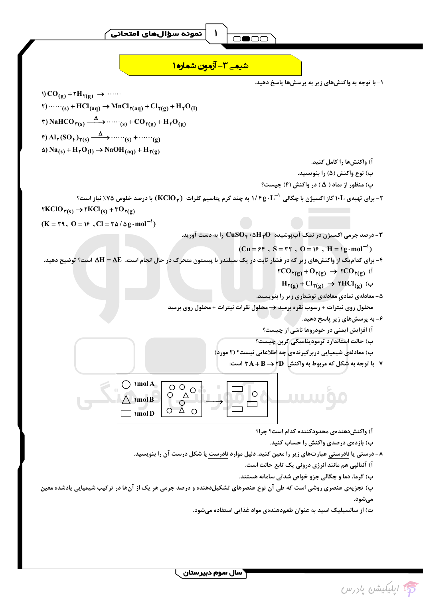ئموئه سؤالهاي امتحائي

<u>شیعے 3- آزمون شمارہ ۱</u> ۱- با توجه به واکنشهای زیر به پرسشها پاسخ دهید.  $\mathcal{O}(q)$  +  $\mathcal{O}(q)$  +  $\mathcal{O}(q)$  +  $\cdots$  $\uparrow$ )  $\cdots \cdots$ <sub>(s)</sub> + HCl<sub>(aq)</sub>  $\rightarrow$  MnCl<sub> $\uparrow$ (aq)</sub> + Cl $\uparrow$ <sub>(g)</sub> + H $\uparrow$ O<sub>(l)</sub>  $\mathbf{f}(\mathrm{SO}_{\mathbf{f}}) \rightarrow \mathbf{H}_{\mathbf{f}}(\mathrm{SO}_{\mathbf{f}}) \rightarrow \cdots \cdots \mathbf{g}(\mathbf{g})$  $\Delta$ ) Na<sub>(s)</sub> + H<sub>1</sub>O<sub>(l)</sub>  $\rightarrow$  NaOH<sub>(aq)</sub> + H<sub>1(g)</sub> آ) واكنش ها را كامل كنيد. ب) نوع واکنش (۵) را بنویسید. پ) منظور از نماد (  $\Delta$  ) در واکنش (۴) چیست؟ ۲- برای تهیهی ۱۰L گاز اکسیژن با چگالی ۱/ ۴g۰ L $^+$ ۱ به چند گرم پتاسیم کلرات (KClO و KClO) با درصد خلوص ۷۵٪ نیاز است؟  $\mathsf{YKClO}_{\mathsf{Y}(s)} \to \mathsf{YKCl}_{(s)} + \mathsf{YO}_{\mathsf{Y}(g)}$  $(K = \tau 1, 0 = 1)$ ,  $Cl = \tau \Delta / \Delta g \cdot mol^{-1}$ - درصد جرمی اکسیژن در نمک آبپوشیده  $\rm H_YO$ ۰۵ $\rm H_Y$  را به دست آورید. - $(Cu = 5f, S = 1f, O = 15$ ,  $H = 1g \cdot mol^{-1}$ ۴- برای کدامیک از واکنشهای زیر که در فشار ثابت در یک سیلندر با پیستون متحرک در حال انجام است، AH = ΔE است؟ توضیح دهید.  $\mathsf{TCO}_{\mathsf{Y}(\mathsf{g})} + \mathsf{O}_{\mathsf{Y}(\mathsf{g})} \rightarrow \mathsf{TCO}_{\mathsf{Y}(\mathsf{g})}$  (1)  $H_{\gamma(g)}$  +  $Cl_{\gamma(g)} \rightarrow \gamma HCl_{(g)}$  ( ۵ – معادلهی نمادی معادلهی نوشتاری زیر را بنویسید. محلول روی نیترات + رسوب نقره برمید → محلول نقرات نیترات + محلول روی برمید ۶– به پرسشهای زیر پاسخ دهید. آ) افزایش ایمنی در خودروها ناشی از چیست؟ ب) حالت استاندارد ترمودینامیکی کربن چیست؟ پ) معادلهی شیمیایی دربرگیرندهی چه اطلاعاتی نیست؟ (۲ مورد) **۷- با توجه به شکل که مربوط به واکنش TA+B → ۲D است:**  $\bigcap$  \mol A  $\Delta$  $\circ$   $\circ$  $\overline{O}$  $\circ$ **JULIU**  $\n **mod B**\n$  $\circ$  $-\tilde{\Delta}$  $\overline{O}$  $\Omega$  $\exists$  \mol D

آ) واكنشدهندهي محدودكننده كدام است؟ چرا؟

ب) بازدهی درصدی واکنش را حساب کنید.

۸- درستی یا نادرستی عبارتهای زیر را معین کنید. دلیل موارد نادرست یا شکل درست آن را بنویسید.

آ) آنتالیی هم مانند انرژی درونی یک تابع حالت است.

ب) گرما، دما و چگالی جزو خواص شدتی سامانه هستند.

پ) تجزیهی عنصری روشی است که طی آن نوع عنصرهای تشکیلدهنده و درصد جرمی هر یک از آنها در ترکیب شیمیایی یادشده معین مي شود.

ت) از سالسیلیک اسید به عنوان طعمدهندهی مواد غذایی استفاده می شود.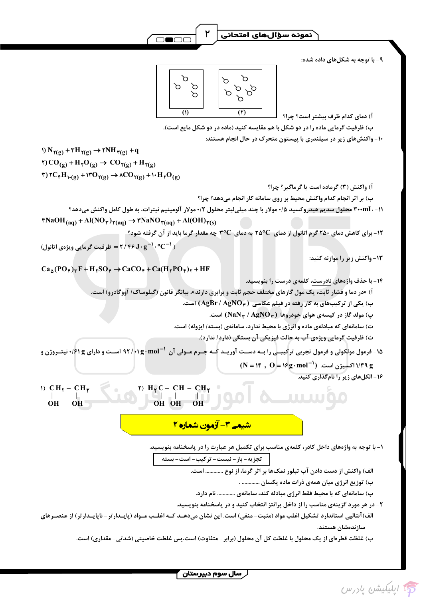ّدمونه سؤالهای امتحانی

 $\infty$  $\varphi$  $\varphi$  $\sigma$  $\mathcal{L}$ 0000  $\sum$  $\overline{()}$  $(\mathbf{r})$ 

۲

۹- با توجه به شکلهای داده شده:

آ) دمای کدام ظرف بیشتر است؟ چرا؟

ب) ظرفیت گرمایی ماده را در دو شکل با هم مقایسه کنید (ماده در دو شکل مایع است).

۱۰- واکنشهای زیر در سیلندری با پیستون متحرک در حال انجام هستند:

1) 8 
$$
W(g) + TH
$$
  $q(g) → rNH$   $q(g) → CO$   $q(g) + H1Q(g)$   
\n2)  $q(f) + H1(g) → CO$   $q(g) + H1Q(g)$   
\n3)  $q(g) + H2(g) → ACO$   $q(g) + H1O(g)$   
\n4)  $q(g) + H2(M2) → ACO$   $q(g) + H1O(g)$   
\n5)  $q(g) + H<sub>2</sub>(M<sub>2</sub>) → NGMO<sub>1</sub>(aq) + A(OH)<sub>1</sub>(aq) + A(OH)<sub>1</sub>(aq) + A(OH)<sub>1</sub>(aq) + A(OH)<sub>1</sub>(aq) + A(OH)<sub>1</sub>(aq) + A(OH)<sub>1</sub>(aq) + A(OH)<sub>1</sub>(aq) + A(OH)<sub>1</sub>(aq) + A(OH)<sub>1</sub>(aq) + A(OH)<sub>1</sub>(aq) + A(OH)<sub>1</sub>(aq) + A(OH)<sub>1</sub>(aq) + A(OH)<sub>1</sub>(aq) + A(OH)<sub>1</sub>(aq) + A(OH)<sub>1</sub>(aq) + A(OH)<sub>1</sub>(aq) + A(OH)<sub>1</sub>(aq) + A(OH)<sub>1</sub>(aq) + A(OH)<sub>1</sub>(aq) + A(OH)<sub>1</sub>(aq) + A(OH)<sub>1</sub>(aq) + A(OH)<sub>1</sub>(aq) + A(OH)<sub>1</sub>(aq) + A(OH)<sub>1</sub>(aq) + A(OH)<sub>1</sub>(aq) + A(OH)<sub>1</sub>(aq) + A(OH)<sub>1</sub>(aq) + A(OH)<sub>1</sub>(aq) + A(OH)<sub>1</sub>(aq) + A(OH)<sub>1</sub>(aq) + A(OH)<sub>1</sub>(aq) + A(OH)<sub>1</sub>(aq) + A(OH)<sub>1</sub>(aq) + A(OH)<sub>1</sub>(aq) + A(OH)<sub>1</sub>(aq) + A(OH)<sub>1</sub>(aq) + A(OH)<sub>1</sub>(aq) + A(OH)<sub>1</sub>(aq) + A(OH)<sub>1</sub>(aq) + A(OH)<sub>1</sub>$ 

۲- در هر مورد گزینهی مناسب را از داخل پرانتز انتخاب کنید و در پاسخنامه بنویسید.

الف) آنتالپی استاندارد تشکیل اغلب مواد (مثبت-منفی) است. این نشان میدهــد کــه اغلــب مــواد (پایــدارتر- ناپایــدارتر) از عنصــرهای سازندەشان ھستند.

ب) غلظت قطرهای از یک محلول با غلظت کل آن محلول (برابر – متفاوت) است،پس غلظت خاصیتی (شدتی– مقداری) است.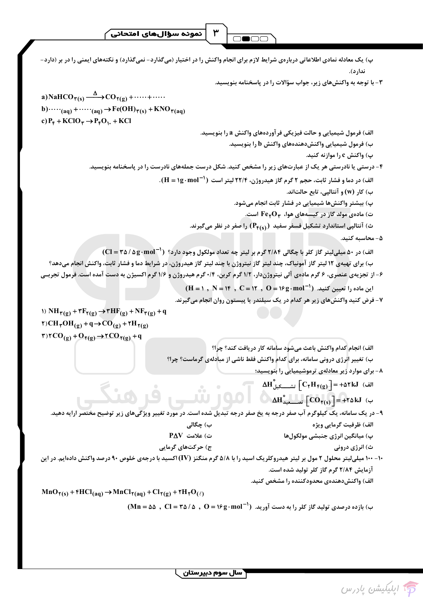نمونه سؤالهاي امتحاني

پ) یک معادله نمادی اطلاعاتی دربارهی شرایط لازم برای انجام واکنش را در اختیار (میگذارد- نمیگذارد) و نکتههای ایمنی را در بر (دارد-ندار د). ۳- با توجه به واکنشهای زیر، جواب سؤالات را در پاسخنامه بنویسید. a) NaHCO  $_{\tau(s)} \xrightarrow{\Delta}$  CO  $_{\tau(g)}$  + ...... + ..... b) $\cdots$ <sub>(aq)</sub> +  $\cdots$ <sub>(aq)</sub>  $\rightarrow$  Fe(OH)<sub> $\tau(s)$ </sub> + KNO<sub> $\tau(aq)$ </sub> c)  $P_{\epsilon}$  + KClO  $_{\tau}$   $\rightarrow$   $P_{\epsilon}$ O<sub>1</sub>, + KCl الف) فرمول شیمیایی و حالت فیزیکی فر آوردههای واکنش a را بنویسید. ب) فرمول شیمیایی واکنشدهشای واکنش b را بنویسید. پ) واکنش c را موازنه کنید. ۴- درستی یا نادرستی هر یک از عبارتهای زیر را مشخص کنید. شکل درست جملههای نادرست را در پاسخنامه بنویسید. الف) در دما و فشار ثابت، حجم ۲ گرم گاز هیدروژن، ۲۲/۴ لیتر است (H = ۱g·mol<sup>-1</sup>). ب) کار (w) و آنتالیے، تابع حالتاند. پ) بیشتر واکنشها شیمیایی در فشار ثابت انجام میشود. ت) مادهی مولد گاز در کیسههای هوا، FerOr است. ث) آنتالپی استاندارد تشکیل فسفر سفید (Pf(s)) را صفر در نظر میگیرند. ۵ – محاسىه كنىد. الف) در ۵۰ میلی لیتر گاز کلر با چگالی ۲/۸۴ گرم بر لیتر چه تعداد مولکول وجود دارد؟ (Cl = ۳۵ / ۵g·mol ) ب) برای تهیهی ۱۲ لیتر گاز آمونیاک، چند لیتر گاز نیتروژن با چند لیتر گاز هیدروژن، در شرایط دما و فشار ثابت، واکنش انجام میدهد؟ ۶- از تجزیهی عنصری، ۶ گرم مادهی آلی نیتروژندار، ۱/۲ گرم کربن، ۰/۴ گرم هیدروژن و ۱/۶ گرم اکسیژن به دست آمده است. فرمول تجربـی  $(H = 1, N = 16, C = 17, O = 19g \cdot mol^{-1})$  این ماده را تعیین کنید. ۷- فرض کنید واکنشهای زیر هر کدام در یک سیلندر یا پیستون روان انجام میگیرند. 1)  $NH_{\gamma(g)} + \tau F_{\gamma(g)} \rightarrow \tau HF_{(g)} + NF_{\gamma(g)} + q$  $\Upsilon$ ) CH<sub> $\Upsilon$ </sub>OH<sub>(g)</sub> + q  $\rightarrow$  CO<sub>(g)</sub> +  $\Upsilon$ H<sub> $\Upsilon$ (g)</sub>  $\Upsilon$ ) $\Upsilon$ CO<sub>(g)</sub> + O<sub> $\Upsilon$ (g)</sub>  $\rightarrow$   $\Upsilon$ CO<sub> $\Upsilon$ (g)</sub> + q الف) انجام كدام واكنش باعث مىشود سامانه كار دريافت كند؟ چرا؟ ب) تغییر انرژی درونی سامانه، برای کدام واکنش فقط ناشی از مبادلهی گرماست؟ چرا؟ ۸- برای موارد زیر معادلهی ترموشیمیایی را بنویسید؛  $\Delta H_{\perp}^{\circ}$ الف)  $C_{\gamma}H_{\gamma(g)} = +\Delta \gamma kJ$  (الف  $\Delta H_{\text{max}}^{\circ}$   $[CO_{Y(s)}] = +Y \Delta kJ$  ( ۹- در یک سامانه، یک کیلوگرم آب صفر درجه به یخ صفر درجه تبدیل شده است. در مورد تغییر ویژگیهای زیر توضیح مختصر ارایه دهید. الف) ظرفيت گرمايي ويژه ب) چگالی  $P\Delta V$  ت) علامت پ) ميانگين انرژي جنبشي مولكولها ج) حرکتهای گرمایی ث) انرژی درونی ۱۰- ۱۰۰ میلی[یتر محلول ۲ مول بر لیتر هیدروکلریک اسید را با ۵/۸ گرم منگنز (IV) اکسید با درجهی خلوص ۹۰ درصد واکنش دادهایم. در این آزمایش ۲/۸۴ گرم گاز کلر تولید شده است. الف) واكنش دهندوي محدودكننده را مشخص كنيد.  $MnO_{\Upsilon(s)} + \Upsilon HCl_{(aq)} \rightarrow MnCl_{\Upsilon(aq)} + Cl_{\Upsilon(g)} + \Upsilon H_{\Upsilon}O_{(\ell)}$  $(Mn = \Delta \Delta , Cl = T\Delta / \Delta , O = 19 g \cdot mol^{-1})$  بازده درصدی تولید گاز کلر را به دست آورید. (1-19 min = 0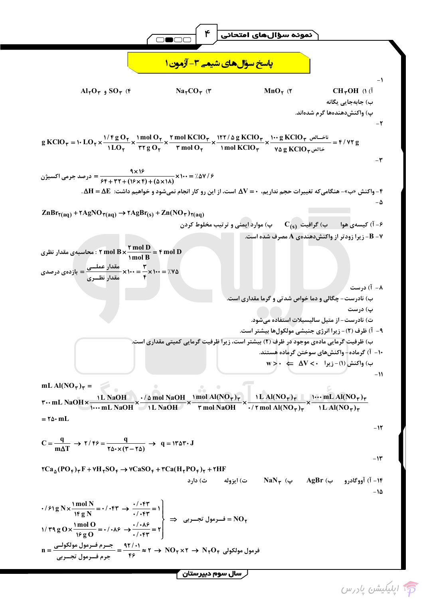$$
\sqrt{2 \ln P(1) + \sqrt{2 \ln P(1) + \sqrt{2 \ln P(1) + \sqrt{2 \ln P(1) + \sqrt{2 \ln P(1) + \sqrt{2 \ln P(1) + \sqrt{2 \ln P(1) + \sqrt{2 \ln P(1) + \sqrt{2 \ln P(1) + \sqrt{2 \ln P(1) + \sqrt{2 \ln P(1) + \sqrt{2 \ln P(1) + \sqrt{2 \ln P(1) + \sqrt{2 \ln P(1) + \sqrt{2 \ln P(1) + \sqrt{2 \ln P(1) + \sqrt{2 \ln P(1) + \sqrt{2 \ln P(1) + \sqrt{2 \ln P(1) + \sqrt{2 \ln P(1) + \sqrt{2 \ln P(1) + \sqrt{2 \ln P(1) + \sqrt{2 \ln P(1) + \sqrt{2 \ln P(1) + \sqrt{2 \ln P(1) + \sqrt{2 \ln P(1) + \sqrt{2 \ln P(1) + \sqrt{2 \ln P(1) + \sqrt{2 \ln P(1) + \sqrt{2 \ln P(1) + \sqrt{2 \ln P(1) + \sqrt{2 \ln P(1) + \sqrt{2 \ln P(1) + \sqrt{2 \ln P(1) + \sqrt{2 \ln P(1) + \sqrt{2 \ln P(1) + \sqrt{2 \ln P(1) + \sqrt{2 \ln P(1) + \sqrt{2 \ln P(1) + \sqrt{2 \ln P(1) + \sqrt{2 \ln P(1) + \sqrt{2 \ln P(1) + \sqrt{2 \ln P(1) + \sqrt{2 \ln P(1) + \sqrt{2 \ln P(1) + \sqrt{2 \ln P(1) + \sqrt{2 \ln P(1) + \sqrt{2 \ln P(1) + \sqrt{2 \ln P(1) + \sqrt{2 \ln P(1) + \sqrt{2 \ln P(1) + \sqrt{2 \ln P(1) + \sqrt{2 \ln P(1) + \sqrt{2 \ln P(1) + \sqrt{2 \ln P(1) + \sqrt{2 \ln P(1) + \sqrt{2 \ln P(1) + \sqrt{2 \ln P(1) + \sqrt{2 \ln P(1) + \sqrt{2 \ln P(1) + \sqrt{2 \ln P(1) + \sqrt{2 \ln P(1) + \sqrt{2 \ln P(1) + \sqrt{2 \ln P(1) + \sqrt{2 \ln P(1) + \sqrt{2 \ln P(1) + \sqrt{2 \ln P(1) + \sqrt{2 \ln P(1) + \sqrt{2 \ln P(1)
$$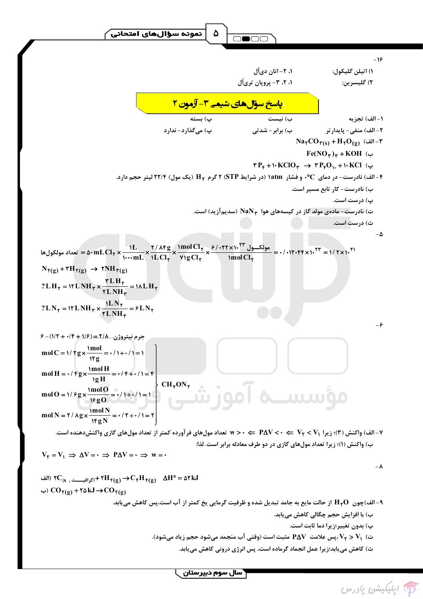